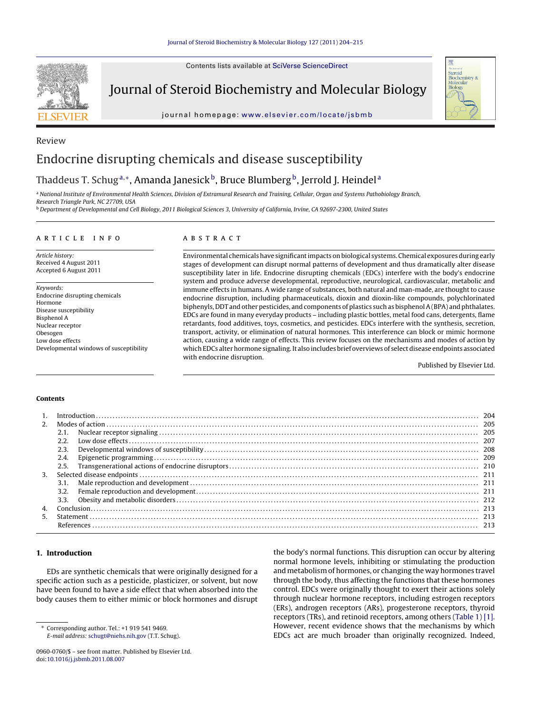Contents lists available at SciVerse [ScienceDirect](http://www.sciencedirect.com/science/journal/09600760)



Journal of Steroid Biochemistry and Molecular Biology

journal hom epage: [www.elsevier.com/locate/jsbmb](http://www.elsevier.com/locate/jsbmb)



# Review Endocrine disrupting chemicals and disease susceptibility

# Thaddeus T. Schug<sup>a,∗</sup>, Amanda Janesick<sup>b</sup>, Bruce Blumberg<sup>b</sup>, Jerrold J. Heindel<sup>a</sup>

a National Institute of Environmental Health Sciences, Division of Extramural Research and Training, Cellular, Organ and Systems Pathobiology Branch, Research Triangle Park, NC 27709, USA

**b Department of Developmental and Cell Biology, 2011 Biological Sciences 3, University of California, Irvine, CA 92697-2300, United States** 

# a r t i c l e i n f o

Endocrine disrupting chemicals

Developmental windows of susceptibility

Disease susceptibility Bisphenol A Nuclear receptor Obesogen Low dose effects

Article history: Received 4 August 2011 Accepted 6 August 2011

Keywords:

Hormone

A B S T R A C T

Environmental chemicalshave significantimpacts onbiological systems.Chemical exposuresduring early stages of development can disrupt normal patterns of development and thus dramatically alter disease susceptibility later in life. Endocrine disrupting chemicals (EDCs) interfere with the body's endocrine system and produce adverse developmental, reproductive, neurological, cardiovascular, metabolic and immune effects in humans. A wide range of substances, both natural and man-made, are thought to cause endocrine disruption, including pharmaceuticals, dioxin and dioxin-like compounds, polychlorinated biphenyls, DDT and other pesticides, and components of plastics such as bisphenol A(BPA) and phthalates. EDCs are found in many everyday products – including plastic bottles, metal food cans, detergents, flame retardants, food additives, toys, cosmetics, and pesticides. EDCs interfere with the synthesis, secretion, transport, activity, or elimination of natural hormones. This interference can block or mimic hormone action, causing a wide range of effects. This review focuses on the mechanisms and modes of action by which EDCs alter hormone signaling. It also includes brief overviews of select disease endpoints associated with endocrine disruption.

Published by Elsevier Ltd.

#### **Contents**

|    | 2.2  |  |  |  |  |
|----|------|--|--|--|--|
|    | 2.3. |  |  |  |  |
|    | 2.4. |  |  |  |  |
|    |      |  |  |  |  |
|    |      |  |  |  |  |
|    | 3.1. |  |  |  |  |
|    | 3.2. |  |  |  |  |
|    |      |  |  |  |  |
| 4. |      |  |  |  |  |
| 5. |      |  |  |  |  |
|    |      |  |  |  |  |

# **1. Introduction**

EDs are synthetic chemicals that were originally designed for a specific action such as a pesticide, plasticizer, or solvent, but now have been found to have a side effect that when absorbed into the body causes them to either mimic or block hormones and disrupt the body's normal functions. This disruption can occur by altering normal hormone levels, inhibiting or stimulating the production and metabolism of hormones, or changing the way hormones travel through the body, thus affecting the functions that these hormones control. EDCs were originally thought to exert their actions solely through nuclear hormone receptors, including estrogen receptors (ERs), androgen receptors (ARs), progesterone receptors, thyroid receptors (TRs), and retinoid receptors, among others ([Table](#page-1-0) 1) [\[1\].](#page-9-0) However, recent evidence shows that the mechanisms by which EDCs act are much broader than originally recognized. Indeed,

<sup>∗</sup> Corresponding author. Tel.: +1 919 541 9469. E-mail address: [schugt@niehs.nih.gov](mailto:schugt@niehs.nih.gov) (T.T. Schug).

<sup>0960-0760/\$</sup> – see front matter. Published by Elsevier Ltd. doi:[10.1016/j.jsbmb.2011.08.007](dx.doi.org/10.1016/j.jsbmb.2011.08.007)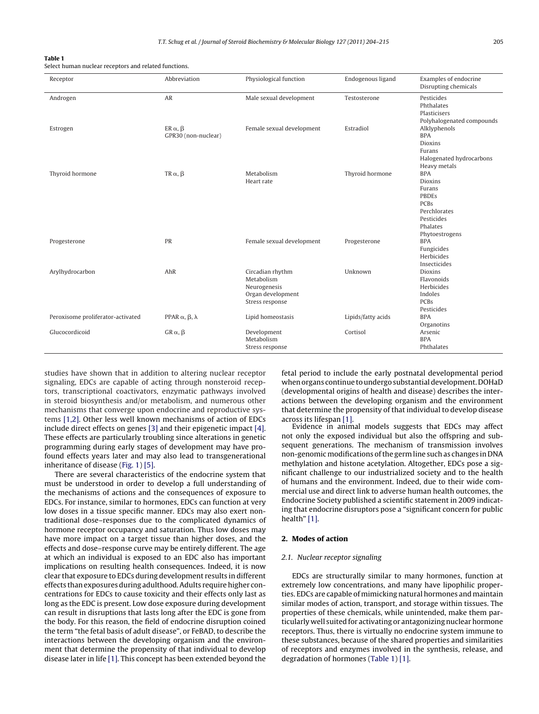#### <span id="page-1-0"></span>**Table 1**

Select human nuclear receptors and related functions.

| Receptor                          | Abbreviation                                 | Physiological function                                                                 | Endogenous ligand  | Examples of endocrine<br>Disrupting chemicals                                                                              |
|-----------------------------------|----------------------------------------------|----------------------------------------------------------------------------------------|--------------------|----------------------------------------------------------------------------------------------------------------------------|
| Androgen                          | AR                                           | Male sexual development                                                                | Testosterone       | Pesticides<br>Phthalates<br>Plasticisers<br>Polyhalogenated compounds                                                      |
| Estrogen                          | $ER \alpha$ , $\beta$<br>GPR30 (non-nuclear) | Female sexual development                                                              | Estradiol          | Alklyphenols<br><b>BPA</b><br><b>Dioxins</b><br>Furans<br>Halogenated hydrocarbons<br>Heavy metals                         |
| Thyroid hormone                   | TR $\alpha$ , $\beta$                        | Metabolism<br>Heart rate                                                               | Thyroid hormone    | <b>BPA</b><br>Dioxins<br>Furans<br><b>PBDEs</b><br><b>PCBs</b><br>Perchlorates<br>Pesticides<br>Phalates<br>Phytoestrogens |
| Progesterone                      | PR                                           | Female sexual development                                                              | Progesterone       | <b>BPA</b><br>Fungicides<br>Herbicides<br>Insecticides                                                                     |
| Arylhydrocarbon                   | AhR                                          | Circadian rhythm<br>Metabolism<br>Neurogenesis<br>Organ development<br>Stress response | Unknown            | Dioxins<br>Flavonoids<br>Herbicides<br>Indoles<br><b>PCBs</b><br>Pesticides                                                |
| Peroxisome proliferator-activated | PPAR $\alpha$ , $\beta$ , $\lambda$          | Lipid homeostasis                                                                      | Lipids/fatty acids | <b>BPA</b><br>Organotins                                                                                                   |
| Glucocordicoid                    | $GR \alpha$ , $\beta$                        | Development<br>Metabolism<br>Stress response                                           | Cortisol           | Arsenic<br><b>BPA</b><br>Phthalates                                                                                        |

studies have shown that in addition to altering nuclear receptor signaling, EDCs are capable of acting through nonsteroid receptors, transcriptional coactivators, enzymatic pathways involved in steroid biosynthesis and/or metabolism, and numerous other mechanisms that converge upon endocrine and reproductive systems [\[1,2\].](#page-9-0) Other less well known mechanisms of action of EDCs include direct effects on genes [\[3\]](#page-9-0) and their epigenetic impact [\[4\].](#page-9-0) These effects are particularly troubling since alterations in genetic programming during early stages of development may have profound effects years later and may also lead to transgenerational inheritance of disease [\(Fig.](#page-2-0) 1) [\[5\].](#page-9-0)

There are several characteristics of the endocrine system that must be understood in order to develop a full understanding of the mechanisms of actions and the consequences of exposure to EDCs. For instance, similar to hormones, EDCs can function at very low doses in a tissue specific manner. EDCs may also exert nontraditional dose–responses due to the complicated dynamics of hormone receptor occupancy and saturation. Thus low doses may have more impact on a target tissue than higher doses, and the effects and dose–response curve may be entirely different. The age at which an individual is exposed to an EDC also has important implications on resulting health consequences. Indeed, it is now clear that exposure to EDCs during development results in different effects than exposures during adulthood. Adults require higher concentrations for EDCs to cause toxicity and their effects only last as long as the EDC is present. Low dose exposure during development can result in disruptions that lasts long after the EDC is gone from the body. For this reason, the field of endocrine disruption coined the term "the fetal basis of adult disease", or FeBAD, to describe the interactions between the developing organism and the environment that determine the propensity of that individual to develop disease later in life [\[1\].](#page-9-0) This concept has been extended beyond the fetal period to include the early postnatal developmental period when organs continue to undergo substantial development. DOHaD (developmental origins of health and disease) describes the interactions between the developing organism and the environment that determine the propensity of that individual to develop disease across its lifespan [\[1\].](#page-9-0)

Evidence in animal models suggests that EDCs may affect not only the exposed individual but also the offspring and subsequent generations. The mechanism of transmission involves non-genomic modifications of the germ line such as changes in DNA methylation and histone acetylation. Altogether, EDCs pose a significant challenge to our industrialized society and to the health of humans and the environment. Indeed, due to their wide commercial use and direct link to adverse human health outcomes, the Endocrine Society published a scientific statement in 2009 indicating that endocrine disruptors pose a "significant concern for public health" [\[1\].](#page-9-0)

# **2. Modes of action**

#### 2.1. Nuclear receptor signaling

EDCs are structurally similar to many hormones, function at extremely low concentrations, and many have lipophilic properties. EDCs are capable of mimicking natural hormones and maintain similar modes of action, transport, and storage within tissues. The properties of these chemicals, while unintended, make them particularly well suited for activating or antagonizing nuclear hormone receptors. Thus, there is virtually no endocrine system immune to these substances, because of the shared properties and similarities of receptors and enzymes involved in the synthesis, release, and degradation of hormones (Table 1) [\[1\].](#page-9-0)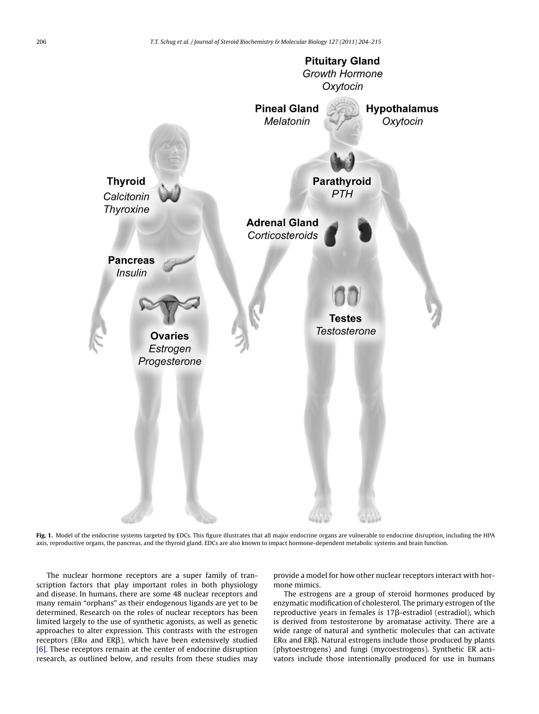<span id="page-2-0"></span>

**Fig. 1.** Model of the endocrine systems targeted by EDCs. This figure illustrates that all major endocrine organs are vulnerable to endocrine disruption, including the HPA axis, reproductive organs, the pancreas, and the thyroid gland. EDCs are also known to impact hormone-dependent metabolic systems and brain function.

The nuclear hormone receptors are a super family of transcription factors that play important roles in both physiology and disease. In humans, there are some 48 nuclear receptors and many remain "orphans" as their endogenous ligands are yet to be determined. Research on the roles of nuclear receptors has been limited largely to the use of synthetic agonists, as well as genetic approaches to alter expression. This contrasts with the estrogen receptors (ER $\alpha$  and ER $\beta$ ), which have been extensively studied [\[6\].](#page-9-0) These receptors remain at the center of endocrine disruption research, as outlined below, and results from these studies may provide a model for how other nuclear receptors interact with hormone mimics.

The estrogens are a group of steroid hormones produced by enzymatic modification of cholesterol. The primary estrogen of the reproductive years in females is  $17\beta$ -estradiol (estradiol), which is derived from testosterone by aromatase activity. There are a wide range of natural and synthetic molecules that can activate ER $\alpha$  and ER $\beta$ . Natural estrogens include those produced by plants (phytoestrogens) and fungi (mycoestrogens). Synthetic ER activators include those intentionally produced for use in humans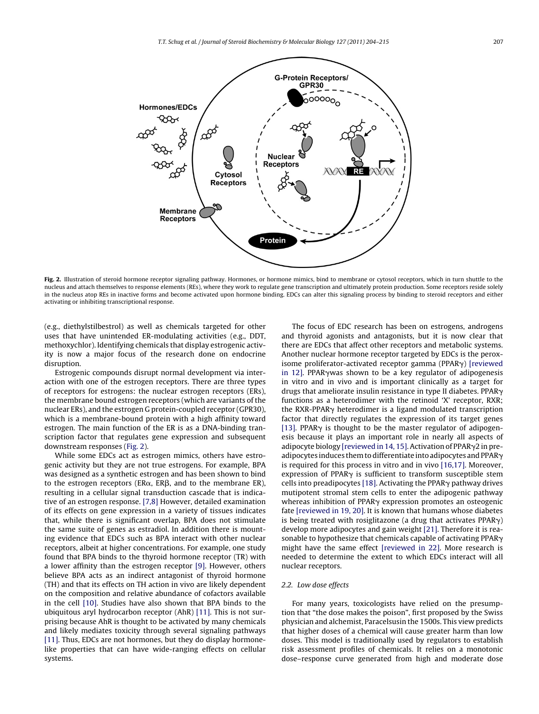

Fig. 2. Illustration of steroid hormone receptor signaling pathway. Hormones, or hormone mimics, bind to membrane or cytosol receptors, which in turn shuttle to the nucleus and attach themselves to response elements (REs), where they work to regulate gene transcription and ultimately protein production. Some receptors reside solely in the nucleus atop REs in inactive forms and become activated upon hormone binding. EDCs can alter this signaling process by binding to steroid receptors and either activating or inhibiting transcriptional response.

(e.g., diethylstilbestrol) as well as chemicals targeted for other uses that have unintended ER-modulating activities (e.g., DDT, methoxychlor). Identifying chemicals that display estrogenic activity is now a major focus of the research done on endocrine disruption.

Estrogenic compounds disrupt normal development via interaction with one of the estrogen receptors. There are three types of receptors for estrogens: the nuclear estrogen receptors (ERs), the membrane bound estrogen receptors (which are variants of the nuclear ERs), and the estrogen G protein-coupled receptor (GPR30), which is a membrane-bound protein with a high affinity toward estrogen. The main function of the ER is as a DNA-binding transcription factor that regulates gene expression and subsequent downstream responses (Fig. 2).

While some EDCs act as estrogen mimics, others have estrogenic activity but they are not true estrogens. For example, BPA was designed as a synthetic estrogen and has been shown to bind to the estrogen receptors (ER $\alpha$ , ER $\beta$ , and to the membrane ER), resulting in a cellular signal transduction cascade that is indicative of an estrogen response. [\[7,8\]](#page-9-0) However, detailed examination of its effects on gene expression in a variety of tissues indicates that, while there is significant overlap, BPA does not stimulate the same suite of genes as estradiol. In addition there is mounting evidence that EDCs such as BPA interact with other nuclear receptors, albeit at higher concentrations. For example, one study found that BPA binds to the thyroid hormone receptor (TR) with a lower affinity than the estrogen receptor [\[9\].](#page-9-0) However, others believe BPA acts as an indirect antagonist of thyroid hormone (TH) and that its effects on TH action in vivo are likely dependent on the composition and relative abundance of cofactors available in the cell [\[10\].](#page-9-0) Studies have also shown that BPA binds to the ubiquitous aryl hydrocarbon receptor (AhR) [\[11\].](#page-9-0) This is not surprising because AhR is thought to be activated by many chemicals and likely mediates toxicity through several signaling pathways [\[11\].](#page-9-0) Thus, EDCs are not hormones, but they do display hormonelike properties that can have wide-ranging effects on cellular systems.

The focus of EDC research has been on estrogens, androgens and thyroid agonists and antagonists, but it is now clear that there are EDCs that affect other receptors and metabolic systems. Another nuclear hormone receptor targeted by EDCs is the peroxisome proliferator-activated receptor gamma (PPAR $\gamma$ ) [\[reviewed](#page-9-0) [in](#page-9-0) [12\].](#page-9-0) PPARywas shown to be a key regulator of adipogenesis in vitro and in vivo and is important clinically as a target for drugs that ameliorate insulin resistance in type II diabetes. PPAR functions as a heterodimer with the retinoid 'X' receptor, RXR; the RXR-PPAR $\gamma$  heterodimer is a ligand modulated transcription factor that directly regulates the expression of its target genes [\[13\].](#page-9-0) PPAR $\gamma$  is thought to be the master regulator of adipogenesis because it plays an important role in nearly all aspects of adipocyte biology [\[reviewed](#page-9-0) [in](#page-9-0) [14,](#page-9-0) [15\].](#page-9-0) Activation of PPARy2 in preadipocytes induces them to differentiate into adipocytes and PPAR $\gamma$ is required for this process in vitro and in vivo [\[16,17\].](#page-9-0) Moreover, expression of PPAR $\gamma$  is sufficient to transform susceptible stem cells into preadipocytes [\[18\].](#page-9-0) Activating the PPAR $\gamma$  pathway drives mutipotent stromal stem cells to enter the adipogenic pathway whereas inhibition of PPAR<sub>Y</sub> expression promotes an osteogenic fate [\[reviewed](#page-9-0) [in](#page-9-0) [19,](#page-9-0) [20\].](#page-9-0) It is known that humans whose diabetes is being treated with rosiglitazone (a drug that activates  $PPAR\gamma$ ) develop more adipocytes and gain weight [\[21\].](#page-9-0) Therefore it is reasonable to hypothesize that chemicals capable of activating PPAR might have the same effect [\[reviewed](#page-10-0) [in](#page-10-0) [22\].](#page-10-0) More research is needed to determine the extent to which EDCs interact will all nuclear receptors.

# 2.2. Low dose effects

For many years, toxicologists have relied on the presumption that "the dose makes the poison", first proposed by the Swiss physician and alchemist, Paracelsusin the 1500s. This view predicts that higher doses of a chemical will cause greater harm than low doses. This model is traditionally used by regulators to establish risk assessment profiles of chemicals. It relies on a monotonic dose–response curve generated from high and moderate dose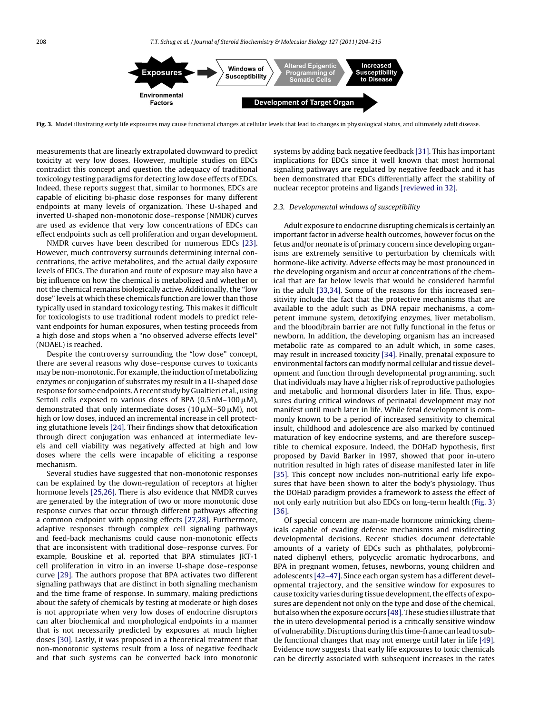

**Fig. 3.** Model illustrating early life exposures may cause functional changes at cellular levels that lead to changes in physiological status, and ultimately adult disease.

measurements that are linearly extrapolated downward to predict toxicity at very low doses. However, multiple studies on EDCs contradict this concept and question the adequacy of traditional toxicology testing paradigms for detecting low dose effects of EDCs. Indeed, these reports suggest that, similar to hormones, EDCs are capable of eliciting bi-phasic dose responses for many different endpoints at many levels of organization. These U-shaped and inverted U-shaped non-monotonic dose–response (NMDR) curves are used as evidence that very low concentrations of EDCs can effect endpoints such as cell proliferation and organ development.

NMDR curves have been described for numerous EDCs [\[23\].](#page-10-0) However, much controversy surrounds determining internal concentrations, the active metabolites, and the actual daily exposure levels of EDCs. The duration and route of exposure may also have a big influence on how the chemical is metabolized and whether or not the chemical remains biologically active. Additionally, the "low dose" levels at which these chemicals function are lower than those typically used in standard toxicology testing. This makes it difficult for toxicologists to use traditional rodent models to predict relevant endpoints for human exposures, when testing proceeds from a high dose and stops when a "no observed adverse effects level" (NOAEL) is reached.

Despite the controversy surrounding the "low dose" concept, there are several reasons why dose–response curves to toxicants may be non-monotonic. For example, the induction of metabolizing enzymes or conjugation of substrates my result in a U-shaped dose response for some endpoints. A recent study by Gualtieri et al., using Sertoli cells exposed to various doses of BPA  $(0.5 \text{ nM} - 100 \mu \text{M})$ , demonstrated that only intermediate doses ( $10 \mu$ M–50 $\mu$ M), not high or low doses, induced an incremental increase in cell protecting glutathione levels [\[24\].](#page-10-0) Their findings show that detoxification through direct conjugation was enhanced at intermediate levels and cell viability was negatively affected at high and low doses where the cells were incapable of eliciting a response mechanism.

Several studies have suggested that non-monotonic responses can be explained by the down-regulation of receptors at higher hormone levels [\[25,26\].](#page-10-0) There is also evidence that NMDR curves are generated by the integration of two or more monotonic dose response curves that occur through different pathways affecting a common endpoint with opposing effects [\[27,28\].](#page-10-0) Furthermore, adaptive responses through complex cell signaling pathways and feed-back mechanisms could cause non-monotonic effects that are inconsistent with traditional dose–response curves. For example, Bouskine et al. reported that BPA stimulates JKT-1 cell proliferation in vitro in an inverse U-shape dose–response curve [\[29\].](#page-10-0) The authors propose that BPA activates two different signaling pathways that are distinct in both signaling mechanism and the time frame of response. In summary, making predictions about the safety of chemicals by testing at moderate or high doses is not appropriate when very low doses of endocrine disruptors can alter biochemical and morphological endpoints in a manner that is not necessarily predicted by exposures at much higher doses [\[30\].](#page-10-0) Lastly, it was proposed in a theoretical treatment that non-monotonic systems result from a loss of negative feedback and that such systems can be converted back into monotonic systems by adding back negative feedback [\[31\].](#page-10-0) This has important implications for EDCs since it well known that most hormonal signaling pathways are regulated by negative feedback and it has been demonstrated that EDCs differentially affect the stability of nuclear receptor proteins and ligands [\[reviewed](#page-10-0) [in](#page-10-0) [32\].](#page-10-0)

#### 2.3. Developmental windows of susceptibility

Adult exposure to endocrine disrupting chemicals is certainly an important factor in adverse health outcomes, however focus on the fetus and/or neonate is of primary concern since developing organisms are extremely sensitive to perturbation by chemicals with hormone-like activity. Adverse effects may be most pronounced in the developing organism and occur at concentrations of the chemical that are far below levels that would be considered harmful in the adult [\[33,34\].](#page-10-0) Some of the reasons for this increased sensitivity include the fact that the protective mechanisms that are available to the adult such as DNA repair mechanisms, a competent immune system, detoxifying enzymes, liver metabolism, and the blood/brain barrier are not fully functional in the fetus or newborn. In addition, the developing organism has an increased metabolic rate as compared to an adult which, in some cases, may result in increased toxicity [\[34\].](#page-10-0) Finally, prenatal exposure to environmental factors can modify normal cellular and tissue development and function through developmental programming, such that individuals may have a higher risk of reproductive pathologies and metabolic and hormonal disorders later in life. Thus, exposures during critical windows of perinatal development may not manifest until much later in life. While fetal development is commonly known to be a period of increased sensitivity to chemical insult, childhood and adolescence are also marked by continued maturation of key endocrine systems, and are therefore susceptible to chemical exposure. Indeed, the DOHaD hypothesis, first proposed by David Barker in 1997, showed that poor in-utero nutrition resulted in high rates of disease manifested later in life [\[35\].](#page-10-0) This concept now includes non-nutritional early life exposures that have been shown to alter the body's physiology. Thus the DOHaD paradigm provides a framework to assess the effect of not only early nutrition but also EDCs on long-term health (Fig. 3) [\[36\].](#page-10-0)

Of special concern are man-made hormone mimicking chemicals capable of evading defense mechanisms and misdirecting developmental decisions. Recent studies document detectable amounts of a variety of EDCs such as phthalates, polybrominated diphenyl ethers, polycyclic aromatic hydrocarbons, and BPA in pregnant women, fetuses, newborns, young children and adolescents [\[42–47\].](#page-10-0) Since each organ system has a different developmental trajectory, and the sensitive window for exposures to cause toxicity varies during tissue development, the effects of exposures are dependent not only on the type and dose of the chemical, but also when the exposure occurs [\[48\].](#page-10-0) These studies illustrate that the in utero developmental period is a critically sensitive window of vulnerability. Disruptions during this time-frame can lead to subtle functional changes that may not emerge until later in life [\[49\].](#page-10-0) Evidence now suggests that early life exposures to toxic chemicals can be directly associated with subsequent increases in the rates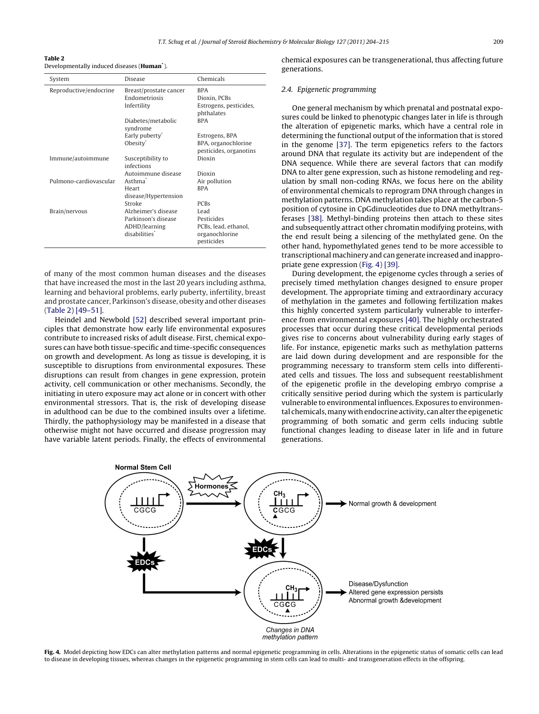**Table 2** Developmentally induced diseases (**Human\***).

| System                 | Disease                        | Chemicals              |  |
|------------------------|--------------------------------|------------------------|--|
| Reproductive/endocrine | Breast/prostate cancer         | <b>BPA</b>             |  |
|                        | Endometriosis                  | Dioxin, PCBs           |  |
|                        | Infertility                    | Estrogens, pesticides, |  |
|                        |                                | phthalates             |  |
|                        | Diabetes/metabolic<br>syndrome | <b>RPA</b>             |  |
|                        | Early puberty <sup>*</sup>     | Estrogens, BPA         |  |
|                        | Obesity <sup>*</sup>           | BPA, organochlorine    |  |
|                        |                                | pesticides, organotins |  |
| Immune/autoimmune      | Susceptibility to              | Dioxin                 |  |
|                        | infections                     |                        |  |
|                        | Autoimmune disease             | Dioxin                 |  |
| Pulmono-cardiovascular | Asthma <sup>*</sup>            | Air pollution          |  |
|                        | Heart                          | <b>BPA</b>             |  |
|                        | disease/Hypertension           |                        |  |
|                        | Stroke                         | <b>PCBs</b>            |  |
| Brain/nervous          | Alzheimer's disease            | Lead                   |  |
|                        | Parkinson's disease            | Pesticides             |  |
|                        | ADHD/learning                  | PCBs, lead, ethanol,   |  |
|                        | disabilities <sup>*</sup>      | organochlorine         |  |
|                        |                                | pesticides             |  |

of many of the most common human diseases and the diseases that have increased the most in the last 20 years including asthma, learning and behavioral problems, early puberty, infertility, breast and prostate cancer, Parkinson's disease, obesity and other diseases (Table 2) [\[49–51\].](#page-10-0)

Heindel and Newbold [\[52\]](#page-10-0) described several important principles that demonstrate how early life environmental exposures contribute to increased risks of adult disease. First, chemical exposures can have both tissue-specific and time-specific consequences on growth and development. As long as tissue is developing, it is susceptible to disruptions from environmental exposures. These disruptions can result from changes in gene expression, protein activity, cell communication or other mechanisms. Secondly, the initiating in utero exposure may act alone or in concert with other environmental stressors. That is, the risk of developing disease in adulthood can be due to the combined insults over a lifetime. Thirdly, the pathophysiology may be manifested in a disease that otherwise might not have occurred and disease progression may have variable latent periods. Finally, the effects of environmental chemical exposures can be transgenerational, thus affecting future generations.

# 2.4. Epigenetic programming

One general mechanism by which prenatal and postnatal exposures could be linked to phenotypic changes later in life is through the alteration of epigenetic marks, which have a central role in determining the functional output of the information that is stored in the genome [\[37\].](#page-10-0) The term epigenetics refers to the factors around DNA that regulate its activity but are independent of the DNA sequence. While there are several factors that can modify DNA to alter gene expression, such as histone remodeling and regulation by small non-coding RNAs, we focus here on the ability of environmental chemicals to reprogram DNA through changes in methylation patterns. DNA methylation takes place at the carbon-5 position of cytosine in CpGdinucleotides due to DNA methyltransferases [\[38\].](#page-10-0) Methyl-binding proteins then attach to these sites and subsequently attract other chromatin modifying proteins, with the end result being a silencing of the methylated gene. On the other hand, hypomethylated genes tend to be more accessible to transcriptional machinery and can generate increased and inappropriate gene expression (Fig. 4) [\[39\].](#page-10-0)

During development, the epigenome cycles through a series of precisely timed methylation changes designed to ensure proper development. The appropriate timing and extraordinary accuracy of methylation in the gametes and following fertilization makes this highly concerted system particularly vulnerable to interference from environmental exposures [\[40\].](#page-10-0) The highly orchestrated processes that occur during these critical developmental periods gives rise to concerns about vulnerability during early stages of life. For instance, epigenetic marks such as methylation patterns are laid down during development and are responsible for the programming necessary to transform stem cells into differentiated cells and tissues. The loss and subsequent reestablishment of the epigenetic profile in the developing embryo comprise a critically sensitive period during which the system is particularly vulnerable to environmental influences. Exposures to environmental chemicals,many withendocrine activity, canalter the epigenetic programming of both somatic and germ cells inducing subtle functional changes leading to disease later in life and in future generations.



Fig. 4. Model depicting how EDCs can alter methylation patterns and normal epigenetic programming in cells. Alterations in the epigenetic status of somatic cells can lead to disease in developing tissues, whereas changes in the epigenetic programming in stem cells can lead to multi- and transgeneration effects in the offspring.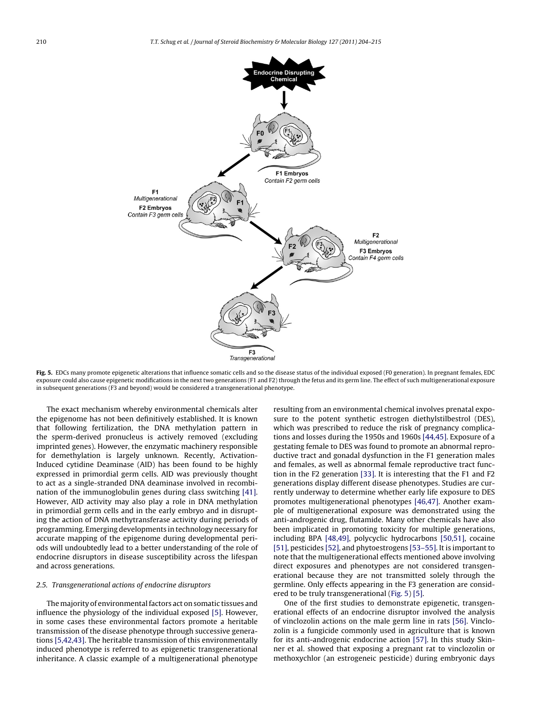

**Fig. 5.** EDCs many promote epigenetic alterations that influence somatic cells and so the disease status of the individual exposed (F0 generation). In pregnant females, EDC exposure could also cause epigenetic modifications in the next two generations (F1 and F2) through the fetus and its germ line. The effect of such multigenerational exposure in subsequent generations (F3 and beyond) would be considered a transgenerational phenotype.

The exact mechanism whereby environmental chemicals alter the epigenome has not been definitively established. It is known that following fertilization, the DNA methylation pattern in the sperm-derived pronucleus is actively removed (excluding imprinted genes). However, the enzymatic machinery responsible for demethylation is largely unknown. Recently, Activation-Induced cytidine Deaminase (AID) has been found to be highly expressed in primordial germ cells. AID was previously thought to act as a single-stranded DNA deaminase involved in recombination of the immunoglobulin genes during class switching [\[41\].](#page-10-0) However, AID activity may also play a role in DNA methylation in primordial germ cells and in the early embryo and in disrupting the action of DNA methytransferase activity during periods of programming. Emerging developments in technology necessary for accurate mapping of the epigenome during developmental periods will undoubtedly lead to a better understanding of the role of endocrine disruptors in disease susceptibility across the lifespan and across generations.

#### 2.5. Transgenerational actions of endocrine disruptors

The majority of environmental factors act on somatic tissues and influence the physiology of the individual exposed [\[5\].](#page-9-0) However, in some cases these environmental factors promote a heritable transmission of the disease phenotype through successive generations [\[5,42,43\].](#page-9-0) The heritable transmission of this environmentally induced phenotype is referred to as epigenetic transgenerational inheritance. A classic example of a multigenerational phenotype resulting from an environmental chemical involves prenatal exposure to the potent synthetic estrogen diethylstilbestrol (DES), which was prescribed to reduce the risk of pregnancy complications and losses during the 1950s and 1960s [\[44,45\].](#page-10-0) Exposure of a gestating female to DES was found to promote an abnormal reproductive tract and gonadal dysfunction in the F1 generation males and females, as well as abnormal female reproductive tract function in the F2 generation [\[33\].](#page-10-0) It is interesting that the F1 and F2 generations display different disease phenotypes. Studies are currently underway to determine whether early life exposure to DES promotes multigenerational phenotypes [\[46,47\].](#page-10-0) Another example of multigenerational exposure was demonstrated using the anti-androgenic drug, flutamide. Many other chemicals have also been implicated in promoting toxicity for multiple generations, including BPA [\[48,49\],](#page-10-0) polycyclic hydrocarbons [\[50,51\],](#page-10-0) cocaine [\[51\],](#page-10-0) pesticides [\[52\],](#page-10-0) and phytoestrogens [53-55]. It is important to note that the multigenerational effects mentioned above involving direct exposures and phenotypes are not considered transgenerational because they are not transmitted solely through the germline. Only effects appearing in the F3 generation are considered to be truly transgenerational (Fig. 5) [\[5\].](#page-9-0)

One of the first studies to demonstrate epigenetic, transgenerational effects of an endocrine disruptor involved the analysis of vinclozolin actions on the male germ line in rats [\[56\].](#page-10-0) Vinclozolin is a fungicide commonly used in agriculture that is known for its anti-androgenic endocrine action [\[57\].](#page-10-0) In this study Skinner et al. showed that exposing a pregnant rat to vinclozolin or methoxychlor (an estrogeneic pesticide) during embryonic days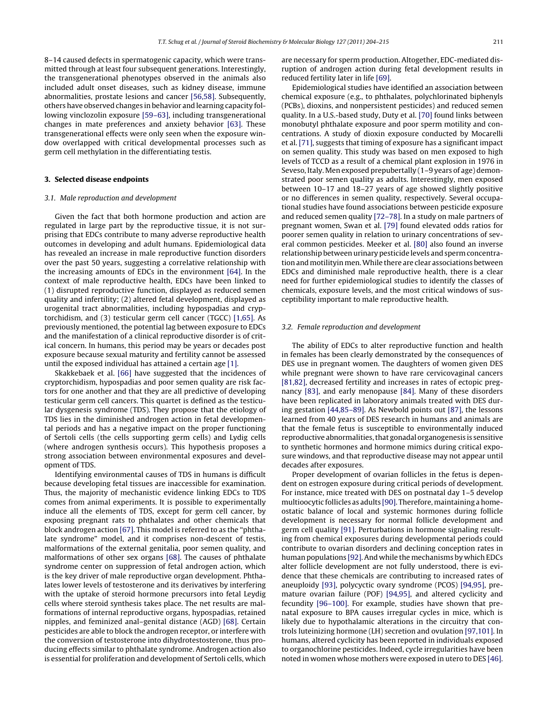8–14 caused defects in spermatogenic capacity, which were transmitted through at least four subsequent generations. Interestingly, the transgenerational phenotypes observed in the animals also included adult onset diseases, such as kidney disease, immune abnormalities, prostate lesions and cancer [\[56,58\].](#page-10-0) Subsequently, others have observed changes in behavior and learning capacity following vinclozolin exposure [\[59–63\],](#page-10-0) including transgenerational changes in mate preferences and anxiety behavior [\[63\].](#page-10-0) These transgenerational effects were only seen when the exposure window overlapped with critical developmental processes such as germ cell methylation in the differentiating testis.

## **3. Selected disease endpoints**

## 3.1. Male reproduction and development

Given the fact that both hormone production and action are regulated in large part by the reproductive tissue, it is not surprising that EDCs contribute to many adverse reproductive health outcomes in developing and adult humans. Epidemiological data has revealed an increase in male reproductive function disorders over the past 50 years, suggesting a correlative relationship with the increasing amounts of EDCs in the environment [\[64\].](#page-10-0) In the context of male reproductive health, EDCs have been linked to (1) disrupted reproductive function, displayed as reduced semen quality and infertility; (2) altered fetal development, displayed as urogenital tract abnormalities, including hypospadias and cryptorchidism, and (3) testicular germ cell cancer (TGCC) [\[1,65\].](#page-9-0) As previously mentioned, the potential lag between exposure to EDCs and the manifestation of a clinical reproductive disorder is of critical concern. In humans, this period may be years or decades post exposure because sexual maturity and fertility cannot be assessed until the exposed individual has attained a certain age [\[1\].](#page-9-0)

Skakkebaek et al. [\[66\]](#page-10-0) have suggested that the incidences of cryptorchidism, hypospadias and poor semen quality are risk factors for one another and that they are all predictive of developing testicular germ cell cancers. This quartet is defined as the testicular dysgenesis syndrome (TDS). They propose that the etiology of TDS lies in the diminished androgen action in fetal developmental periods and has a negative impact on the proper functioning of Sertoli cells (the cells supporting germ cells) and Lydig cells (where androgen synthesis occurs). This hypothesis proposes a strong association between environmental exposures and development of TDS.

Identifying environmental causes of TDS in humans is difficult because developing fetal tissues are inaccessible for examination. Thus, the majority of mechanistic evidence linking EDCs to TDS comes from animal experiments. It is possible to experimentally induce all the elements of TDS, except for germ cell cancer, by exposing pregnant rats to phthalates and other chemicals that block androgen action [\[67\].](#page-10-0) This model is referred to as the "phthalate syndrome" model, and it comprises non-descent of testis, malformations of the external genitalia, poor semen quality, and malformations of other sex organs [\[68\].](#page-10-0) The causes of phthalate syndrome center on suppression of fetal androgen action, which is the key driver of male reproductive organ development. Phthalates lower levels of testosterone and its derivatives by interfering with the uptake of steroid hormone precursors into fetal Leydig cells where steroid synthesis takes place. The net results are malformations of internal reproductive organs, hypospadias, retained nipples, and feminized anal–genital distance (AGD) [\[68\].](#page-10-0) Certain pesticides are able to block the androgen receptor, or interfere with the conversion of testosterone into dihydrotestosterone, thus producing effects similar to phthalate syndrome. Androgen action also is essential for proliferation and development of Sertoli cells, which are necessary for sperm production. Altogether, EDC-mediated disruption of androgen action during fetal development results in reduced fertility later in life [\[69\].](#page-10-0)

Epidemiological studies have identified an association between chemical exposure (e.g., to phthalates, polychlorinated biphenyls (PCBs), dioxins, and nonpersistent pesticides) and reduced semen quality. In a U.S.-based study, Duty et al. [\[70\]](#page-10-0) found links between monobutyl phthalate exposure and poor sperm motility and concentrations. A study of dioxin exposure conducted by Mocarelli et al. [\[71\],](#page-10-0) suggests that timing of exposure has a significant impact on semen quality. This study was based on men exposed to high levels of TCCD as a result of a chemical plant explosion in 1976 in Seveso, Italy. Men exposed prepubertally (1–9 years of age) demonstrated poor semen quality as adults. Interestingly, men exposed between 10–17 and 18–27 years of age showed slightly positive or no differences in semen quality, respectively. Several occupational studies have found associations between pesticide exposure and reduced semen quality [\[72–78\].](#page-10-0) In a study on male partners of pregnant women, Swan et al. [\[79\]](#page-11-0) found elevated odds ratios for poorer semen quality in relation to urinary concentrations of several common pesticides. Meeker et al. [\[80\]](#page-11-0) also found an inverse relationship between urinary pesticide levels and sperm concentration and motilityin men.While there are clear associations between EDCs and diminished male reproductive health, there is a clear need for further epidemiological studies to identify the classes of chemicals, exposure levels, and the most critical windows of susceptibility important to male reproductive health.

#### 3.2. Female reproduction and development

The ability of EDCs to alter reproductive function and health in females has been clearly demonstrated by the consequences of DES use in pregnant women. The daughters of women given DES while pregnant were shown to have rare cervicovaginal cancers [\[81,82\],](#page-11-0) decreased fertility and increases in rates of ectopic pregnancy [\[83\],](#page-11-0) and early menopause [\[84\].](#page-11-0) Many of these disorders have been replicated in laboratory animals treated with DES during gestation [\[44,85–89\].](#page-10-0) As Newbold points out [\[87\],](#page-11-0) the lessons learned from 40 years of DES research in humans and animals are that the female fetus is susceptible to environmentally induced reproductive abnormalities, that gonadal organogenesis is sensitive to synthetic hormones and hormone mimics during critical exposure windows, and that reproductive disease may not appear until decades after exposures.

Proper development of ovarian follicles in the fetus is dependent on estrogen exposure during critical periods of development. For instance, mice treated with DES on postnatal day 1–5 develop multioocytic follicles as adults [\[90\].](#page-11-0) Therefore, maintaining a homeostatic balance of local and systemic hormones during follicle development is necessary for normal follicle development and germ cell quality [\[91\].](#page-11-0) Perturbations in hormone signaling resulting from chemical exposures during developmental periods could contribute to ovarian disorders and declining conception rates in human populations [92]. And while the mechanisms by which EDCs alter follicle development are not fully understood, there is evidence that these chemicals are contributing to increased rates of aneuploidy [\[93\],](#page-11-0) polycyctic ovary syndrome (PCOS) [\[94,95\],](#page-11-0) premature ovarian failure (POF) [\[94,95\],](#page-11-0) and altered cyclicity and fecundity [\[96–100\].](#page-11-0) For example, studies have shown that prenatal exposure to BPA causes irregular cycles in mice, which is likely due to hypothalamic alterations in the circuitry that controls luteinizing hormone (LH) secretion and ovulation [\[97,101\].](#page-11-0) In humans, altered cyclicity has been reported in individuals exposed to organochlorine pesticides. Indeed, cycle irregularities have been noted in women whose mothers were exposed in utero to DES [\[46\].](#page-10-0)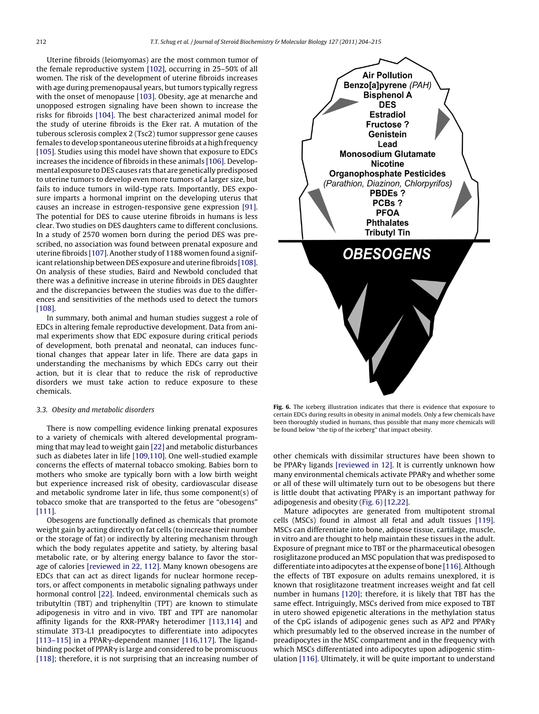Uterine fibroids (leiomyomas) are the most common tumor of the female reproductive system [\[102\],](#page-11-0) occurring in 25–50% of all women. The risk of the development of uterine fibroids increases with age during premenopausal years, but tumors typically regress with the onset of menopause [\[103\].](#page-11-0) Obesity, age at menarche and unopposed estrogen signaling have been shown to increase the risks for fibroids [\[104\].](#page-11-0) The best characterized animal model for the study of uterine fibroids is the Eker rat. A mutation of the tuberous sclerosis complex 2 (Tsc2) tumor suppressor gene causes females to develop spontaneous uterinefibroids at a high frequency [\[105\].](#page-11-0) Studies using this model have shown that exposure to EDCs increases the incidence of fibroids in these animals [\[106\].](#page-11-0) Developmental exposure to DES causes rats that are genetically predisposed to uterine tumors to develop even more tumors of a larger size, but fails to induce tumors in wild-type rats. Importantly, DES exposure imparts a hormonal imprint on the developing uterus that causes an increase in estrogen-responsive gene expression [\[91\].](#page-11-0) The potential for DES to cause uterine fibroids in humans is less clear. Two studies on DES daughters came to different conclusions. In a study of 2570 women born during the period DES was prescribed, no association was found between prenatal exposure and uterine fibroids [\[107\].A](#page-11-0)nother study of 1188 women found a signif-icant relationship between DES exposure and uterine fibroids [\[108\].](#page-11-0) On analysis of these studies, Baird and Newbold concluded that there was a definitive increase in uterine fibroids in DES daughter and the discrepancies between the studies was due to the differences and sensitivities of the methods used to detect the tumors [\[108\].](#page-11-0)

In summary, both animal and human studies suggest a role of EDCs in altering female reproductive development. Data from animal experiments show that EDC exposure during critical periods of development, both prenatal and neonatal, can induces functional changes that appear later in life. There are data gaps in understanding the mechanisms by which EDCs carry out their action, but it is clear that to reduce the risk of reproductive disorders we must take action to reduce exposure to these chemicals.

#### 3.3. Obesity and metabolic disorders

There is now compelling evidence linking prenatal exposures to a variety of chemicals with altered developmental programming that may lead to weight gain [\[22\]](#page-10-0) and metabolic disturbances such as diabetes later in life [\[109,110\].](#page-11-0) One well-studied example concerns the effects of maternal tobacco smoking. Babies born to mothers who smoke are typically born with a low birth weight but experience increased risk of obesity, cardiovascular disease and metabolic syndrome later in life, thus some component(s) of tobacco smoke that are transported to the fetus are "obesogens" [\[111\].](#page-11-0)

Obesogens are functionally defined as chemicals that promote weight gain by acting directly on fat cells (to increase their number or the storage of fat) or indirectly by altering mechanism through which the body regulates appetite and satiety, by altering basal metabolic rate, or by altering energy balance to favor the storage of calories [\[reviewed](#page-10-0) [in](#page-10-0) [22,](#page-10-0) [112\].](#page-10-0) Many known obesogens are EDCs that can act as direct ligands for nuclear hormone receptors, or affect components in metabolic signaling pathways under hormonal control [\[22\].](#page-10-0) Indeed, environmental chemicals such as tributyltin (TBT) and triphenyltin (TPT) are known to stimulate adipogenesis in vitro and in vivo. TBT and TPT are nanomolar affinity ligands for the RXR-PPAR $\gamma$  heterodimer [\[113,114\]](#page-11-0) and stimulate 3T3-L1 preadipocytes to differentiate into adipocytes [\[113–115\]](#page-11-0) in a PPAR $\gamma$ -dependent manner [\[116,117\].](#page-11-0) The ligandbinding pocket of PPAR $\gamma$  is large and considered to be promiscuous [\[118\];](#page-11-0) therefore, it is not surprising that an increasing number of



**Fig. 6.** The iceberg illustration indicates that there is evidence that exposure to certain EDCs during results in obesity in animal models. Only a few chemicals have been thoroughly studied in humans, thus possible that many more chemicals will be found below "the tip of the iceberg" that impact obesity.

other chemicals with dissimilar structures have been shown to be PPAR $\gamma$  ligands [\[reviewed](#page-9-0) [in](#page-9-0) [12\].](#page-9-0) It is currently unknown how many environmental chemicals activate PPAR $\gamma$  and whether some or all of these will ultimately turn out to be obesogens but there is little doubt that activating PPAR $\gamma$  is an important pathway for adipogenesis and obesity (Fig. 6) [\[12,22\].](#page-9-0)

Mature adipocytes are generated from multipotent stromal cells (MSCs) found in almost all fetal and adult tissues [\[119\].](#page-11-0) MSCs can differentiate into bone, adipose tissue, cartilage, muscle, in vitro and are thought to help maintain these tissues in the adult. Exposure of pregnant mice to TBT or the pharmaceutical obesogen rosiglitazone produced an MSC population that was predisposed to differentiate into adipocytes at the expense of bone [\[116\].](#page-11-0) Although the effects of TBT exposure on adults remains unexplored, it is known that rosiglitazone treatment increases weight and fat cell number in humans [\[120\];](#page-11-0) therefore, it is likely that TBT has the same effect. Intriguingly, MSCs derived from mice exposed to TBT in utero showed epigenetic alterations in the methylation status of the CpG islands of adipogenic genes such as AP2 and PPAR which presumably led to the observed increase in the number of preadipocytes in the MSC compartment and in the frequency with which MSCs differentiated into adipocytes upon adipogenic stimulation [\[116\].](#page-11-0) Ultimately, it will be quite important to understand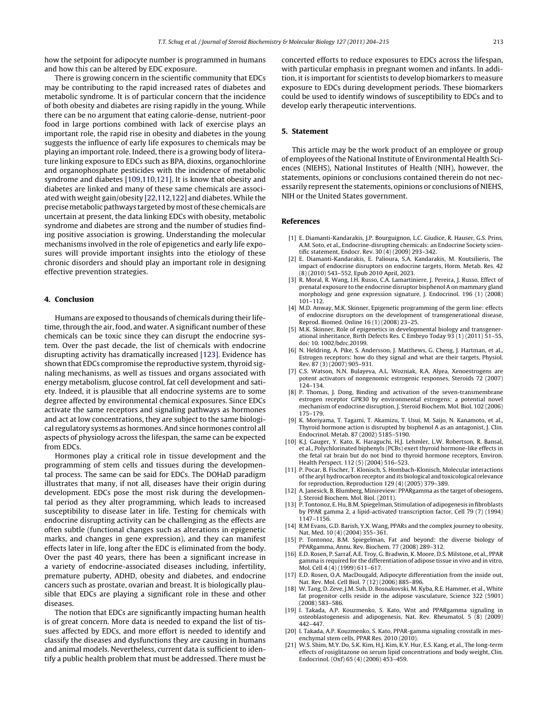<span id="page-9-0"></span>how the setpoint for adipocyte number is programmed in humans and how this can be altered by EDC exposure.

There is growing concern in the scientific community that EDCs may be contributing to the rapid increased rates of diabetes and metabolic syndrome. It is of particular concern that the incidence of both obesity and diabetes are rising rapidly in the young. While there can be no argument that eating calorie-dense, nutrient-poor food in large portions combined with lack of exercise plays an important role, the rapid rise in obesity and diabetes in the young suggests the influence of early life exposures to chemicals may be playing an important role. Indeed, there is a growing body of literature linking exposure to EDCs such as BPA, dioxins, organochlorine and organophosphate pesticides with the incidence of metabolic syndrome and diabetes [\[109,110,121\].](#page-11-0) It is know that obesity and diabetes are linked and many of these same chemicals are associated with weight gain/obesity [\[22,112,122\]](#page-10-0) and diabetes. While the precise metabolic pathways targeted by most of these chemicals are uncertain at present, the data linking EDCs with obesity, metabolic syndrome and diabetes are strong and the number of studies finding positive association is growing. Understanding the molecular mechanisms involved in the role of epigenetics and early life exposures will provide important insights into the etiology of these chronic disorders and should play an important role in designing effective prevention strategies.

# **4. Conclusion**

Humans are exposed to thousands of chemicals during their lifetime, through the air, food, and water. A significant number of these chemicals can be toxic since they can disrupt the endocrine system. Over the past decade, the list of chemicals with endocrine disrupting activity has dramatically increased [\[123\].](#page-11-0) Evidence has shown that EDCs compromise the reproductive system, thyroid signaling mechanisms, as well as tissues and organs associated with energy metabolism, glucose control, fat cell development and satiety. Indeed, it is plausible that all endocrine systems are to some degree affected by environmental chemical exposures. Since EDCs activate the same receptors and signaling pathways as hormones and act at low concentrations, they are subject to the same biological regulatory systems as hormones.And since hormones control all aspects of physiology across the lifespan, the same can be expected from EDCs.

Hormones play a critical role in tissue development and the programming of stem cells and tissues during the developmental process. The same can be said for EDCs. The DOHaD paradigm illustrates that many, if not all, diseases have their origin during development. EDCs pose the most risk during the developmental period as they alter programming, which leads to increased susceptibility to disease later in life. Testing for chemicals with endocrine disrupting activity can be challenging as the effects are often subtle (functional changes such as alterations in epigenetic marks, and changes in gene expression), and they can manifest effects later in life, long after the EDC is eliminated from the body. Over the past 40 years, there has been a significant increase in a variety of endocrine-associated diseases including, infertility, premature puberty, ADHD, obesity and diabetes, and endocrine cancers such as prostate, ovarian and breast. It is biologically plausible that EDCs are playing a significant role in these and other diseases.

The notion that EDCs are significantly impacting human health is of great concern. More data is needed to expand the list of tissues affected by EDCs, and more effort is needed to identify and classify the diseases and dysfunctions they are causing in humans and animal models. Nevertheless, current data is sufficient to identify a public health problem that must be addressed. There must be concerted efforts to reduce exposures to EDCs across the lifespan, with particular emphasis in pregnant women and infants. In addition, it is important for scientists to develop biomarkers to measure exposure to EDCs during development periods. These biomarkers could be used to identify windows of susceptibility to EDCs and to develop early therapeutic interventions.

# **5. Statement**

This article may be the work product of an employee or group of employees of the National Institute of Environmental Health Sciences (NIEHS), National Institutes of Health (NIH), however, the statements, opinions or conclusions contained therein do not necessarily represent the statements, opinions or conclusions of NIEHS, NIH or the United States government.

#### **References**

- [1] E. Diamanti-Kandarakis, J.P. Bourguignon, L.C. Giudice, R. Hauser, G.S. Prins, A.M. Soto, et al., Endocrine-disrupting chemicals: an Endocrine Society scientific statement, Endocr. Rev. 30 (4) (2009) 293–342.
- E. Diamanti-Kandarakis, E. Palioura, S.A. Kandarakis, M. Koutsilieris, The impact of endocrine disruptors on endocrine targets, Horm. Metab. Res. 42 (8) (2010) 543–552, Epub 2010 April, 2023.
- [3] R. Moral, R. Wang, I.H. Russo, C.A. Lamartiniere, J. Pereira, J. Russo, Effect of prenatal exposure to the endocrine disruptor bisphenol A on mammary gland morphology and gene expression signature, J. Endocrinol. 196 (1) (2008) 101–112.
- [4] M.D. Anway, M.K. Skinner, Epigenetic programming of the germ line: effects of endocrine disruptors on the development of transgenerational disease, Reprod. Biomed. Online 16 (1) (2008) 23–25.
- [5] M.K. Skinner, Role of epigenetics in developmental biology and transgenerational inheritance, Birth Defects Res. C Embryo Today 93 (1) (2011) 51–55, doi: 10. 1002/bdrc.20199.
- [6] N. Heldring, A. Pike, S. Andersson, J. Matthews, G. Cheng, J. Hartman, et al., Estrogen receptors: how do they signal and what are their targets, Physiol. Rev. 87 (3) (2007) 905–931.
- [7] C.S. Watson, N.N. Bulayeva, A.L. Wozniak, R.A. Alyea, Xenoestrogens are potent activators of nongenomic estrogenic responses, Steroids 72 (2007) 124–134.
- [8] P. Thomas, J. Dong, Binding and activation of the seven-transmembrane estrogen receptor GPR30 by environmental estrogens: a potential novel mechanism of endocrine disruption, J. Steroid Biochem. Mol. Biol. 102 (2006) 175–179.
- [9] K. Moriyama, T. Tagami, T. Akamizu, T. Usui, M. Saijo, N. Kanamoto, et al., Thyroid hormone action is disrupted by bisphenol A as an antagonist, J. Clin. Endocrinol. Metab. 87 (2002) 5185–5190.
- [10] K.J. Gauger, Y. Kato, K. Haraguchi, H.J. Lehmler, L.W. Robertson, R. Bansal, et al., Polychlorinated biphenyls (PCBs) exert thyroid hormone-like effects in the fetal rat brain but do not bind to thyroid hormone receptors, Environ. Health Perspect. 112 (5) (2004) 516–523.
- [11] P. Pocar, B. Fischer, T. Klonisch, S. Hombach-Klonisch, Molecular interactions ofthe aryl hydrocarbon receptor and its biological and toxicological relevance for reproduction, Reproduction 129 (4) (2005) 379–389.
- [12] A. Janesick, B. Blumberg, Minireview: PPARgamma as the target of obesogens, J. Steroid Biochem. Mol. Biol. (2011).
- [13] P. Tontonoz, E. Hu, B.M. Spiegelman, Stimulation of adipogenesis in fibroblasts by PPAR gamma 2, a lipid-activated transcription factor, Cell 79 (7) (1994) 1147–1156.
- [14] R.M Evans, G.D. Barish, Y.X. Wang, PPARs and the complex journey to obesity, Nat. Med. 10 (4) (2004) 355–361.
- [15] P. Tontonoz, B.M. Spiegelman, Fat and beyond: the diverse biology of PPARgamma, Annu. Rev. Biochem. 77 (2008) 289–312.
- [16] E.D. Rosen, P. Sarraf, A.E. Troy, G. Bradwin, K. Moore, D.S. Milstone, et al., PPAR gamma is required for the differentiation of adipose tissue in vivo and in vitro, Mol. Cell 4 (4) (1999) 611–617.
- [17] E.D. Rosen, O.A. MacDougald, Adipocyte differentiation from the inside out, Nat. Rev. Mol. Cell Biol. 7 (12) (2006) 885–896.
- [18] W. Tang, D. Zeve, J.M. Suh, D. Bosnakovski, M. Kyba, R.E. Hammer, et al., White fat progenitor cells reside in the adipose vasculature, Science 322 (5901) (2008) 583–586.
- [19] I. Takada, A.P. Kouzmenko, S. Kato, Wnt and PPARgamma signaling in osteoblastogenesis and adipogenesis, Nat. Rev. Rheumatol. 5 (8) (2009) 442–447.
- [20] I. Takada, A.P. Kouzmenko, S. Kato, PPAR-gamma signaling crosstalk in mesenchymal stem cells, PPAR Res. 2010 (2010).
- [21] W.S. Shim, M.Y. Do, S.K. Kim, H.J. Kim, K.Y. Hur, E.S. Kang, et al., The long-term effects of rosiglitazone on serum lipid concentrations and body weight, Clin. Endocrinol. (Oxf) 65 (4) (2006) 453–459.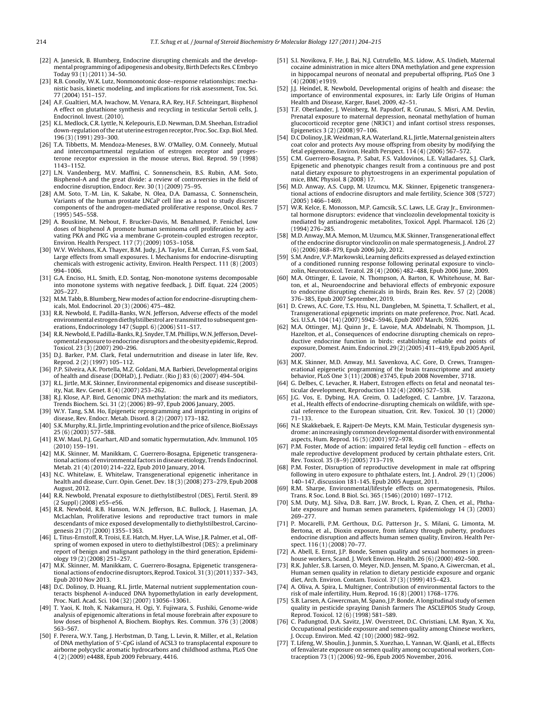- <span id="page-10-0"></span>[22] A. Janesick, B. Blumberg, Endocrine disrupting chemicals and the developmental programming of adipogenesis and obesity, Birth Defects Res. CEmbryo Today 93 (1) (2011) 34–50.
- [23] R.B. Conolly, W.K. Lutz, Nonmonotonic dose–response relationships: mechanistic basis, kinetic modeling, and implications for risk assessment, Tox. Sci. 77 (2004) 151–157.
- [24] A.F. Gualtieri, M.A. Iwachow, M. Venara, R.A. Rey, H.F. Schteingart, Bisphenol A effect on glutathione synthesis and recycling in testicular Sertoli cells, J. Endocrinol. Invest. (2010).
- [25] K.L. Medlock, C.R. Lyttle, N. Kelepouris, E.D. Newman, D.M. Sheehan, Estradiol down-regulation of the rat uterine estrogen receptor, Proc. Soc. Exp. Biol. Med. 196 (3) (1991) 293–300.
- [26] T.A. Tibbetts, M. Mendoza-Meneses, B.W. O'Malley, O.M. Conneely, Mutual and intercompartmental regulation of estrogen receptor and progesterone receptor expression in the mouse uterus, Biol. Reprod. 59 (1998) 1143–1152.
- [27] L.N. Vandenberg, M.V. Maffini, C. Sonnenschein, B.S. Rubin, A.M. Soto, Bisphenol-A and the great divide: a review of controversies in the field of endocrine disruption, Endocr. Rev. 30 (1) (2009) 75–95.
- [28] A.M. Soto, T.-M. Lin, K. Sakabe, N. Olea, D.A. Damassa, C. Sonnenschein, Variants of the human prostate LNCaP cell line as a tool to study discrete components of the androgen-mediated proliferative response, Oncol. Res. 7 (1995) 545–558.
- [29] A. Bouskine, M. Nebout, F. Brucker-Davis, M. Benahmed, P. Fenichel, Low doses of bisphenol A promote human seminoma cell proliferation by activating PKA and PKG via a membrane G-protein-coupled estrogen receptor, Environ. Health Perspect. 117 (7) (2009) 1053–1058.
- [30] W.V. Welshons, K.A. Thayer, B.M. Judy, J.A. Taylor, E.M. Curran, F.S. vom Saal, Large effects from small exposures. I. Mechanisms for endocrine-disrupting chemicals with estrogenic activity, Environ. Health Perspect. 111 (8) (2003) 994–1006.
- [31] G.A. Enciso, H.L. Smith, E.D. Sontag, Non-monotone systems decomposable into monotone systems with negative feedback, J. Diff. Equat. 224 (2005) 205–227.
- [32] M.M. Tabb, B. Blumberg, New modes of action for endocrine-disrupting chemicals, Mol. Endocrinol. 20 (3) (2006) 475–482.
- [33] R.R. Newbold, E. Padilla-Banks, W.N. Jefferson, Adverse effects of the model environmental estrogen diethylstilbestrol are transmitted to subsequent generations, Endocrinology 147 (Suppl. 6) (2006) S11–S17.
- [34] R.R. Newbold, E. Padilla-Banks, R.J. Snyder, T.M. Phillips,W.N. Jefferson, Developmental exposure to endocrine disruptors and the obesity epidemic, Reprod. Toxicol. 23 (3) (2007) 290–296.
- [35] D.J. Barker, P.M. Clark, Fetal undernutrition and disease in later life, Rev. Reprod. 2 (2) (1997) 105–112.
- [36] P.P. Silveira, A.K. Portella, M.Z. Goldani, M.A. Barbieri, Developmental origins of health and disease (DOHaD), J. Pediatr. (Rio J) 83 (6) (2007) 494–504.
- [37] R.L. Jirtle, M.K. Skinner, Environmental epigenomics and disease susceptibility, Nat. Rev. Genet. 8 (4) (2007) 253–262.
- [38] R.J. Klose, A.P. Bird, Genomic DNA methylation: the mark and its mediators, Trends Biochem. Sci. 31 (2) (2006) 89–97, Epub 2006 January, 2005.
- [39] W.Y. Tang, S.M. Ho, Epigenetic reprogramming and imprinting in origins of disease, Rev. Endocr. Metab. Disord. 8 (2) (2007) 173–182.
- [40] S.K.Murphy,R.L.Jirtle,Imprinting evolution and the price of silence, BioEssays 25 (6) (2003) 577–588.
- [41] R.W. Maul, P.J. Gearhart, AID and somatic hypermutation, Adv. Immunol. 105 (2010) 159–191.
- [42] M.K. Skinner, M. Manikkam, C. Guerrero-Bosagna, Epigenetic transgenerational actions of environmental factors in disease etiology, Trends Endocrinol. Metab. 21 (4) (2010) 214–222, Epub 2010 January, 2014.
- [43] N.C. Whitelaw, E. Whitelaw, Transgenerational epigenetic inheritance in health and disease, Curr. Opin. Genet. Dev. 18 (3) (2008) 273–279, Epub 2008 August, 2012.
- [44] R.R. Newbold, Prenatal exposure to diethylstilbestrol (DES), Fertil. Steril. 89 (2 Suppl) (2008) e55–e56.
- [45] R.R. Newbold, R.B. Hanson, W.N. Jefferson, B.C. Bullock, J. Haseman, J.A. McLachlan, Proliferative lesions and reproductive tract tumors in male descendants of mice exposed developmentally to diethylstilbestrol, Carcinogenesis 21 (7) (2000) 1355–1363.
- [46] L. Titus-Ernstoff, R. Troisi, E.E. Hatch, M. Hyer, L.A. Wise, J.R. Palmer, et al., Offspring of women exposed in utero to diethylstilbestrol (DES): a preliminary report of benign and malignant pathology in the third generation, Epidemiology 19 (2) (2008) 251–257.
- [47] M.K. Skinner, M. Manikkam, C. Guerrero-Bosagna, Epigenetic transgenerational actions of endocrine disruptors, Reprod. Toxicol. 31 (3)(2011) 337–343, Epub 2010 Nov 2013.
- [48] D.C. Dolinoy, D. Huang, R.L. Jirtle, Maternal nutrient supplementation counteracts bisphenol A-induced DNA hypomethylation in early development, Proc. Natl. Acad. Sci. 104 (32) (2007) 13056–13061.
- [49] T. Yaoi, K. Itoh, K. Nakamura, H. Ogi, Y. Fujiwara, S. Fushiki, Genome-wide analysis of epigenomic alterations in fetal mouse forebrain after exposure to low doses of bisphenol A, Biochem. Biophys. Res. Commun. 376 (3) (2008) 563–567.
- [50] F. Perera, W.Y. Tang, J. Herbstman, D. Tang, L. Levin, R. Miller, et al., Relation of DNA methylation of 5'-CpG island of ACSL3 to transplacental exposure to airborne polycyclic aromatic hydrocarbons and childhood asthma, PLoS One 4 (2) (2009) e4488, Epub 2009 February, 4416.
- [51] S.I. Novikova, F. He, J. Bai, N.J. Cutrufello, M.S. Lidow, A.S. Undieh, Maternal cocaine administration in mice alters DNA methylation and gene expression in hippocampal neurons of neonatal and prepubertal offspring, PLoS One 3 (4) (2008) e1919.
- [52] J.J. Heindel, R. Newbold, Developmental origins of health and disease: the importance of environmental exposures, in: Early Life Origins of Human Health and Disease, Karger, Basel, 2009, 42–51.
- [53] T.F. Oberlander, J. Weinberg, M. Papsdorf, R. Grunau, S. Misri, A.M. Devlin, Prenatal exposure to maternal depression, neonatal methylation of human glucocorticoid receptor gene (NR3C1) and infant cortisol stress responses, Epigenetics 3 (2) (2008) 97–106.
- [54] D.C Dolinoy, J.R. Weidman, R.A. Waterland, R.L. Jirtle, Maternal genistein alters coat color and protects Avy mouse offspring from obesity by modifying the fetal epigenome, Environ. Health Perspect. 114 (4) (2006) 567–572.
- [55] C.M. Guerrero-Bosagna, P. Sabat, F.S. Valdovinos, L.E. Valladares, S.J. Clark, Epigenetic and phenotypic changes result from a continuous pre and post natal dietary exposure to phytoestrogens in an experimental population of mice, BMC Physiol. 8 (2008) 17.
- [56] M.D. Anway, A.S. Cupp, M. Uzumcu, M.K. Skinner, Epigenetic transgenerational actions of endocrine disruptors and male fertility, Science 308 (5727) (2005) 1466–1469.
- [57] W.R. Kelce, E. Monosson, M.P. Gamcsik, S.C. Laws, L.E. Gray Jr., Environmental hormone disruptors: evidence that vinclozolin developmental toxicity is mediated by antiandrogenic metabolites, Toxicol. Appl. Pharmacol. 126 (2) (1994) 276–285.
- [58] M.D. Anway, M.A. Memon, M. Uzumcu, M.K. Skinner, Transgenerational effect of the endocrine disruptor vinclozolin on male spermatogenesis, J. Androl. 27 (6) (2006) 868–879, Epub 2006 July, 2012.
- [59] S.M. Andre, V.P. Markowski, Learning deficits expressed as delayed extinction of a conditioned running response following perinatal exposure to vinclo-zolin, Neurotoxicol. Teratol. 28 (4) (2006) 482–488, Epub 2006 June, 2009.
- [60] M.A. Ottinger, E. Lavoie, N. Thompson, A. Barton, K. Whitehouse, M. Barton, et al., Neuroendocrine and behavioral effects of embryonic exposure to endocrine disrupting chemicals in birds, Brain Res. Rev. 57 (2) (2008) 376–385, Epub 2007 September, 2019.
- [61] D. Crews, A.C. Gore, T.S. Hsu, N.L. Dangleben, M. Spinetta, T. Schallert, et al., Transgenerational epigenetic imprints on mate preference, Proc. Natl. Acad. Sci. U.S.A. 104 (14) (2007) 5942–5946, Epub 2007 March, 5926.
- [62] M.A. Ottinger, M.J. Quinn Jr., E. Lavoie, M.A. Abdelnabi, N. Thompson, J.L. Hazelton, et al., Consequences of endocrine disrupting chemicals on reproductive endocrine function in birds: establishing reliable end points of exposure, Domest. Anim. Endocrinol. 29 (2)(2005) 411–419, Epub 2005 April, 2007.
- [63] M.K. Skinner, M.D. Anway, M.I. Savenkova, A.C. Gore, D. Crews, Transgenerational epigenetic programming of the brain transcriptome and anxiety behavior, PLoS One 3 (11) (2008) e3745, Epub 2008 November, 3718.
- [64] G. Delbes, C. Levacher, R. Habert, Estrogen effects on fetal and neonatal testicular development, Reproduction 132 (4) (2006) 527–538.
- [65] J.G. Vos, E. Dybing, H.A. Greim, O. Ladefoged, C. Lambre, J.V. Tarazona, et al., Health effects of endocrine-disrupting chemicals on wildlife, with special reference to the European situation, Crit. Rev. Toxicol. 30 (1) (2000) 71–133.
- [66] N.E Skakkebaek, E. Rajpert-De Meyts, K.M. Main, Testicular dysgenesis syndrome: an increasingly common developmental disorder with environmental aspects, Hum. Reprod. 16 (5) (2001) 972–978.
- [67] P.M. Foster, Mode of action: impaired fetal leydig cell function effects on male reproductive development produced by certain phthalate esters, Crit. Rev. Toxicol. 35 (8–9) (2005) 713–719.
- [68] P.M. Foster, Disruption of reproductive development in male rat offspring following in utero exposure to phthalate esters, Int. J. Androl. 29 (1) (2006) 140–147, discussion 181-145. Epub 2005 August, 2011.
- [69] R.M. Sharpe, Environmental/lifestyle effects on spermatogenesis, Philos. Trans. R Soc. Lond. B Biol. Sci. 365 (1546) (2010) 1697–1712.
- [70] S.M. Duty, M.J. Silva, D.B. Barr, J.W. Brock, L. Ryan, Z. Chen, et al., Phthalate exposure and human semen parameters, Epidemiology 14 (3) (2003) 269–277.
- [71] P. Mocarelli, P.M. Gerthoux, D.G. Patterson Jr., S. Milani, G. Limonta, M. Bertona, et al., Dioxin exposure, from infancy through puberty, produces endocrine disruption and affects human semen quality, Environ. Health Perspect. 116 (1) (2008) 70–77.
- [72] A. Abell, E. Ernst, J.P. Bonde, Semen quality and sexual hormones in greenhouse workers, Scand. J. Work Environ. Health. 26 (6) (2000) 492–500.
- [73] R.K. Juhler, S.B. Larsen, O. Meyer, N.D. Jensen, M. Spano, A. Giwercman, et al., Human semen quality in relation to dietary pesticide exposure and organic diet, Arch. Environ. Contam. Toxicol. 37 (3) (1999) 415–423.
- [74] A. Oliva, A. Spira, L. Multigner, Contribution of environmental factors to the risk of male infertility, Hum. Reprod. 16 (8) (2001) 1768–1776.
- [75] S.B. Larsen, A. Giwercman, M. Spano, J.P. Bonde, A longitudinal study of semen quality in pesticide spraying Danish farmers The ASCLEPIOS Study Group, Reprod. Toxicol. 12 (6) (1998) 581–589.
- [76] C. Padungtod, D.A. Savitz, J.W. Overstreet, D.C. Christiani, L.M. Ryan, X. Xu, Occupational pesticide exposure and semen quality among Chinese workers, J. Occup. Environ. Med. 42 (10) (2000) 982–992.
- [77] T. Lifeng, W. Shoulin, J. Junmin, S. Xuezhao, L. Yannan, W. Qianli, et al., Effects of fenvalerate exposure on semen quality among occupational workers, Contraception 73 (1) (2006) 92–96, Epub 2005 November, 2016.